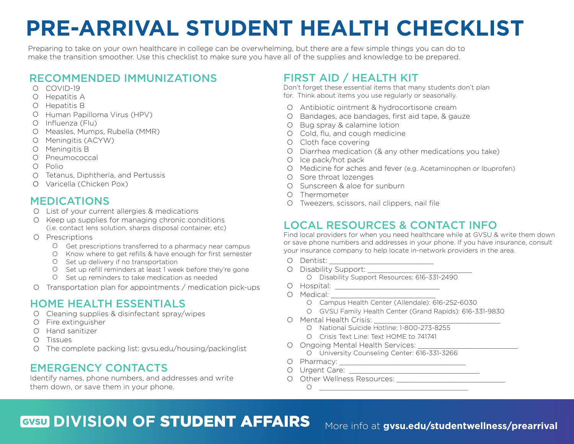# **PRE-ARRIVAL STUDENT HEALTH CHECKLIST**

Preparing to take on your own healthcare in college can be overwhelming, but there are a few simple things you can do to make the transition smoother. Use this checklist to make sure you have all of the supplies and knowledge to be prepared.

#### RECOMMENDED IMMUNIZATIONS

- O COVID-19
- O Hepatitis A
- O Hepatitis B
- O Human Papilloma Virus (HPV)
- O Influenza (Flu)
- O Measles, Mumps, Rubella (MMR)
- O Meningitis (ACYW)
- O Meningitis B
- O Pneumococcal
- O Polio
- O Tetanus, Diphtheria, and Pertussis
- O Varicella (Chicken Pox)

### MEDICATIONS

- O List of your current allergies & medications
- O Keep up supplies for managing chronic conditions (i.e. contact lens solution, sharps disposal container, etc)
- O Prescriptions
	- O Get prescriptions transferred to a pharmacy near campus
	- O Know where to get refills & have enough for first semester
	- O Set up delivery if no transportation
	- O Set up refill reminders at least 1 week before they're gone
	- O Set up reminders to take medication as needed
- O Transportation plan for appointments / medication pick-ups

### HOME HEALTH ESSENTIALS

- O Cleaning supplies & disinfectant spray/wipes
- O Fire extinguisher
- O Hand sanitizer
- O Tissues
- O The complete packing list: gvsu.edu/housing/packinglist

### EMERGENCY CONTACTS

Identify names, phone numbers, and addresses and write them down, or save them in your phone.

# FIRST AID / HEALTH KIT

Don't forget these essential items that many students don't plan for. Think about items you use regularly or seasonally.

- O Antibiotic ointment & hydrocortisone cream
- O Bandages, ace bandages, first aid tape, & gauze
- O Bug spray & calamine lotion
- O Cold, flu, and cough medicine
- O Cloth face covering
- O Diarrhea medication (& any other medications you take)
- O Ice pack/hot pack
- O Medicine for aches and fever (e.g. Acetaminophen or Ibuprofen)
- O Sore throat lozenges
- O Sunscreen & aloe for sunburn
- O Thermometer
- O Tweezers, scissors, nail clippers, nail file

# LOCAL RESOURCES & CONTACT INFO

Find local providers for when you need healthcare while at GVSU & write them down or save phone numbers and addresses in your phone. If you have insurance, consult your insurance company to help locate in-network providers in the area.

- O Dentist: \_\_\_\_\_\_\_\_\_\_\_\_\_\_\_\_\_\_\_\_\_\_\_\_
- O Disability Support: \_\_\_\_\_\_\_\_\_\_\_\_\_\_\_\_\_\_\_\_\_\_\_\_
	- O Disability Support Resources: 616-331-2490
- O Hospital: \_\_\_\_\_\_\_\_\_\_\_\_\_\_\_\_\_\_\_\_\_\_\_\_
- O Medical: \_\_\_\_\_\_\_\_\_\_\_\_\_\_\_\_\_\_\_\_\_\_\_\_
	- O Campus Health Center (Allendale): 616-252-6030
	- O GVSU Family Health Center (Grand Rapids): 616-331-9830
- O Mental Health Crisis: \_\_\_\_\_\_\_\_\_\_\_\_\_\_\_\_\_\_\_\_\_\_\_\_\_\_\_\_\_
	- O National Suicide Hotline: 1-800-273-8255
	- O Crisis Text Line: Text HOME to 741741
- O Ongoing Mental Health Services: \_\_\_\_\_\_\_\_\_\_\_\_\_\_\_\_\_\_\_\_\_\_\_
	- O University Counseling Center: 616-331-3266
- O Pharmacy: \_\_\_\_\_\_\_\_\_\_\_\_\_\_\_\_\_\_\_\_\_\_\_\_\_\_\_\_\_
- O Urgent Care: \_\_\_\_\_\_\_\_\_\_\_\_\_\_\_\_\_\_\_\_\_\_\_\_\_\_\_\_\_\_
- O Other Wellness Resources: \_\_\_\_\_\_\_\_\_\_\_\_\_\_\_\_\_\_\_\_\_\_\_\_\_  $\circ$

# **GVSU DIVISION OF STUDENT AFFAIRS**